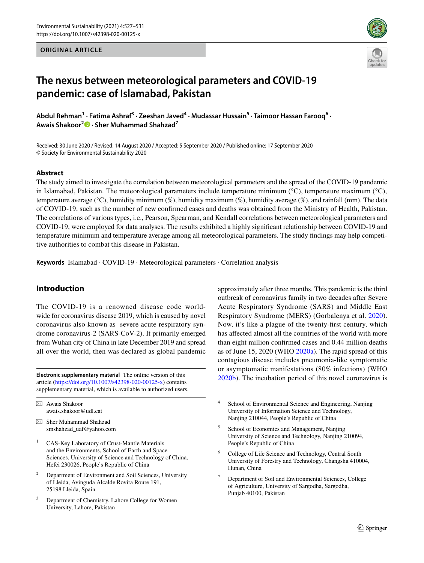#### **ORIGINAL ARTICLE**



# **The nexus between meteorological parameters and COVID‑19 pandemic: case of Islamabad, Pakistan**

Abdul Rehman<sup>1</sup> • Fatima Ashraf<sup>3</sup> • Zeeshan Javed<sup>4</sup> • Mudassar Hussain<sup>5</sup> • Taimoor Hassan Farooq<sup>6</sup> • **Awais Shakoor2  [·](http://orcid.org/0000-0001-9273-4500) Sher Muhammad Shahzad7**

Received: 30 June 2020 / Revised: 14 August 2020 / Accepted: 5 September 2020 / Published online: 17 September 2020 © Society for Environmental Sustainability 2020

#### **Abstract**

The study aimed to investigate the correlation between meteorological parameters and the spread of the COVID-19 pandemic in Islamabad, Pakistan. The meteorological parameters include temperature minimum (°C), temperature maximum (°C), temperature average (°C), humidity minimum (%), humidity maximum (%), humidity average (%), and rainfall (mm). The data of COVID-19, such as the number of new confrmed cases and deaths was obtained from the Ministry of Health, Pakistan. The correlations of various types, i.e., Pearson, Spearman, and Kendall correlations between meteorological parameters and COVID-19, were employed for data analyses. The results exhibited a highly signifcant relationship between COVID-19 and temperature minimum and temperature average among all meteorological parameters. The study fndings may help competitive authorities to combat this disease in Pakistan.

**Keywords** Islamabad · COVID-19 · Meteorological parameters · Correlation analysis

# **Introduction**

The COVID-19 is a renowned disease code worldwide for coronavirus disease 2019, which is caused by novel coronavirus also known as severe acute respiratory syndrome coronavirus-2 (SARS-CoV-2). It primarily emerged from Wuhan city of China in late December 2019 and spread all over the world, then was declared as global pandemic

article [\(https://doi.org/10.1007/s42398-020-00125-x\)](https://doi.org/10.1007/s42398-020-00125-x) contains supplementary material, which is available to authorized users.

 $\boxtimes$  Awais Shakoor awais.shakoor@udl.cat

- $\boxtimes$  Sher Muhammad Shahzad smshahzad\_uaf@yahoo.com
- <sup>1</sup> CAS-Key Laboratory of Crust-Mantle Materials and the Environments, School of Earth and Space Sciences, University of Science and Technology of China, Hefei 230026, People's Republic of China
- <sup>2</sup> Department of Environment and Soil Sciences, University of Lleida, Avinguda Alcalde Rovira Roure 191, 25198 Lleida, Spain
- Department of Chemistry, Lahore College for Women University, Lahore, Pakistan

approximately after three months. This pandemic is the third outbreak of coronavirus family in two decades after Severe Acute Respiratory Syndrome (SARS) and Middle East Respiratory Syndrome (MERS) (Gorbalenya et al. [2020](#page-4-0)). Now, it's like a plague of the twenty-frst century, which has afected almost all the countries of the world with more than eight million confrmed cases and 0.44 million deaths as of June 15, 2020 (WHO [2020a\)](#page-4-1). The rapid spread of this contagious disease includes pneumonia-like symptomatic or asymptomatic manifestations (80% infections) (WHO **Electronic supplementary material** The online version of this [2020b](#page-4-2)). The incubation period of this novel coronavirus is  $\frac{2020b}{\pi}$ .

- <sup>4</sup> School of Environmental Science and Engineering, Nanjing University of Information Science and Technology, Nanjing 210044, People's Republic of China
- <sup>5</sup> School of Economics and Management, Nanjing University of Science and Technology, Nanjing 210094, People's Republic of China
- <sup>6</sup> College of Life Science and Technology, Central South University of Forestry and Technology, Changsha 410004, Hunan, China
- <sup>7</sup> Department of Soil and Environmental Sciences, College of Agriculture, University of Sargodha, Sargodha, Punjab 40100, Pakistan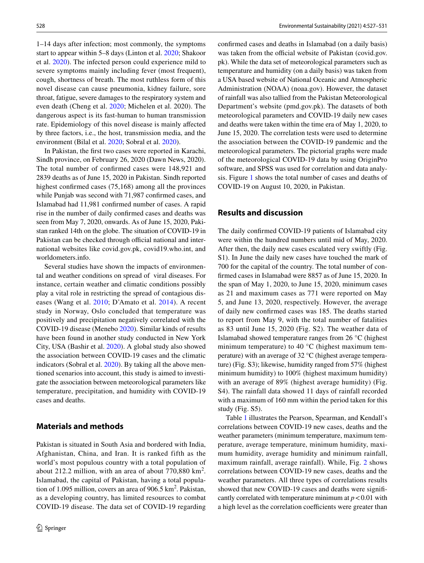1–14 days after infection; most commonly, the symptoms start to appear within 5–8 days (Linton et al. [2020;](#page-4-3) Shakoor et al. [2020](#page-4-4)). The infected person could experience mild to severe symptoms mainly including fever (most frequent), cough, shortness of breath. The most ruthless form of this novel disease can cause pneumonia, kidney failure, sore throat, fatigue, severe damages to the respiratory system and even death (Cheng et al. [2020](#page-3-0); Michelen et al. 2020). The dangerous aspect is its fast-human to human transmission rate. Epidemiology of this novel disease is mainly afected by three factors, i.e., the host, transmission media, and the environment (Bilal et al. [2020;](#page-3-1) Sobral et al. [2020](#page-4-5)).

In Pakistan, the frst two cases were reported in Karachi, Sindh province, on February 26, 2020 (Dawn News, 2020). The total number of confrmed cases were 148,921 and 2839 deaths as of June 15, 2020 in Pakistan. Sindh reported highest confrmed cases (75,168) among all the provinces while Punjab was second with 71,987 confrmed cases, and Islamabad had 11,981 confrmed number of cases. A rapid rise in the number of daily confrmed cases and deaths was seen from May 7, 2020, onwards. As of June 15, 2020, Pakistan ranked 14th on the globe. The situation of COVID-19 in Pakistan can be checked through official national and international websites like covid.gov.pk, covid19.who.int, and worldometers.info.

Several studies have shown the impacts of environmental and weather conditions on spread of viral diseases. For instance, certain weather and climatic conditions possibly play a vital role in restricting the spread of contagious diseases (Wang et al. [2010;](#page-4-6) D'Amato et al. [2014\)](#page-3-2). A recent study in Norway, Oslo concluded that temperature was positively and precipitation negatively correlated with the COVID-19 disease (Menebo [2020](#page-4-7)). Similar kinds of results have been found in another study conducted in New York City, USA (Bashir et al. [2020\)](#page-3-3). A global study also showed the association between COVID-19 cases and the climatic indicators (Sobral et al. [2020](#page-4-5)). By taking all the above mentioned scenarios into account, this study is aimed to investigate the association between meteorological parameters like temperature, precipitation, and humidity with COVID-19 cases and deaths.

#### **Materials and methods**

Pakistan is situated in South Asia and bordered with India, Afghanistan, China, and Iran. It is ranked fifth as the world's most populous country with a total population of about 212.2 million, with an area of about  $770,880 \text{ km}^2$ . Islamabad, the capital of Pakistan, having a total population of 1.095 million, covers an area of  $906.5 \text{ km}^2$ . Pakistan, as a developing country, has limited resources to combat COVID-19 disease. The data set of COVID-19 regarding

confrmed cases and deaths in Islamabad (on a daily basis) was taken from the official website of Pakistan (covid.gov. pk). While the data set of meteorological parameters such as temperature and humidity (on a daily basis) was taken from a USA based website of National Oceanic and Atmospheric Administration (NOAA) (noaa.gov). However, the dataset of rainfall was also tallied from the Pakistan Meteorological Department's website (pmd.gov.pk). The datasets of both meteorological parameters and COVID-19 daily new cases and deaths were taken within the time era of May 1, 2020, to June 15, 2020. The correlation tests were used to determine the association between the COVID-19 pandemic and the meteorological parameters. The pictorial graphs were made of the meteorological COVID-19 data by using OriginPro software, and SPSS was used for correlation and data analysis. Figure [1](#page-2-0) shows the total number of cases and deaths of COVID-19 on August 10, 2020, in Pakistan.

### **Results and discussion**

The daily confrmed COVID-19 patients of Islamabad city were within the hundred numbers until mid of May, 2020. After then, the daily new cases escalated very swiftly (Fig. S1). In June the daily new cases have touched the mark of 700 for the capital of the country. The total number of confrmed cases in Islamabad were 8857 as of June 15, 2020. In the span of May 1, 2020, to June 15, 2020, minimum cases as 21 and maximum cases as 771 were reported on May 5, and June 13, 2020, respectively. However, the average of daily new confrmed cases was 185. The deaths started to report from May 9, with the total number of fatalities as 83 until June 15, 2020 (Fig. S2). The weather data of Islamabad showed temperature ranges from 26 °C (highest minimum temperature) to 40 °C (highest maximum temperature) with an average of 32 °C (highest average temperature) (Fig. S3); likewise, humidity ranged from 57% (highest minimum humidity) to 100% (highest maximum humidity) with an average of 89% (highest average humidity) (Fig. S4). The rainfall data showed 11 days of rainfall recorded with a maximum of 160 mm within the period taken for this study (Fig. S5).

Table [1](#page-2-1) illustrates the Pearson, Spearman, and Kendall's correlations between COVID-19 new cases, deaths and the weather parameters (minimum temperature, maximum temperature, average temperature, minimum humidity, maximum humidity, average humidity and minimum rainfall, maximum rainfall, average rainfall). While, Fig. [2](#page-3-4) shows correlations between COVID-19 new cases, deaths and the weather parameters. All three types of correlations results showed that new COVID-19 cases and deaths were signifcantly correlated with temperature minimum at  $p < 0.01$  with a high level as the correlation coefficients were greater than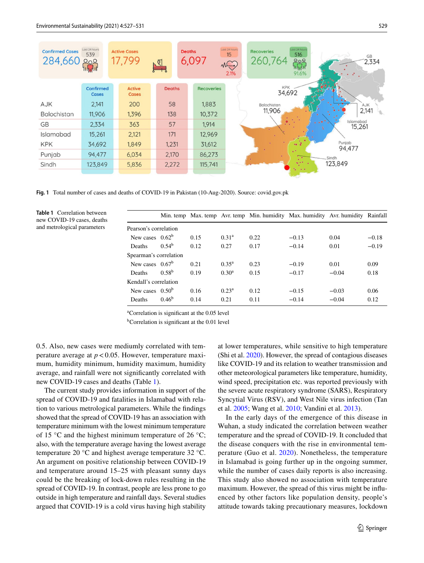| <b>Confirmed Cases</b><br>284,660 | Last 24 hours<br>539<br>200<br>11. <mark>yy</mark> dd | <b>Active Cases</b><br>17,799 | 녝             | <b>Deaths</b> | 6,097             | Last 24 hours<br>15<br>MC<br>2.1% | Last 24 hours<br><b>Recoveries</b><br>516<br>GB<br>260,764<br>808<br>2,334<br>uhdu<br>91.6% |
|-----------------------------------|-------------------------------------------------------|-------------------------------|---------------|---------------|-------------------|-----------------------------------|---------------------------------------------------------------------------------------------|
|                                   | Confirmed<br><b>Cases</b>                             | <b>Active</b><br><b>Cases</b> | <b>Deaths</b> |               | <b>Recoveries</b> |                                   | <b>KPK</b><br>34,692                                                                        |
| AJK                               | 2,141                                                 | 200                           | 58            |               | 1,883             |                                   | Balochistan<br>AJK                                                                          |
| <b>Balochistan</b>                | 11,906                                                | 1,396                         | 138           |               | 10,372            |                                   | 2,141<br>11,906                                                                             |
| <b>GB</b>                         | 2.334                                                 | 363                           | 57            |               | 1,914             |                                   | Islamabad<br>$\sim 10^{-11}$<br>15,261                                                      |
| Islamabad                         | 15,261                                                | 2,121                         | 171           |               | 12,969            |                                   |                                                                                             |
| <b>KPK</b>                        | 34,692                                                | 1.849                         | 1,231         |               | 31,612            |                                   | Punjab<br>$\sim$ 2<br>94,477                                                                |
| Punjab                            | 94,477                                                | 6,034                         | 2,170         |               | 86,273            |                                   | v.<br>Sindh                                                                                 |
| Sindh                             | 123,849                                               | 5,836                         | 2,272         |               | 115,741           |                                   | 0.11<br>123,849                                                                             |
|                                   |                                                       |                               |               |               |                   |                                   | $\rightarrow$                                                                               |

<span id="page-2-0"></span>**Fig. 1** Total number of cases and deaths of COVID-19 in Pakistan (10-Aug-2020). Source: covid.gov.pk

<span id="page-2-1"></span>**Table 1** Correlation between new COVID-19 cases, deaths and metrological parameters

|                        |                |      |                   |      | Min. temp Max. temp Avr. temp Min. humidity Max. humidity Avr. humidity Rainfall |         |         |
|------------------------|----------------|------|-------------------|------|----------------------------------------------------------------------------------|---------|---------|
| Pearson's correlation  |                |      |                   |      |                                                                                  |         |         |
| New cases $0.62b$      |                | 0.15 | 0.31 <sup>a</sup> | 0.22 | $-0.13$                                                                          | 0.04    | $-0.18$ |
| Deaths                 | $0.54^b$       | 0.12 | 0.27              | 0.17 | $-0.14$                                                                          | 0.01    | $-0.19$ |
| Spearman's correlation |                |      |                   |      |                                                                                  |         |         |
| New cases $0.67b$      |                | 0.21 | $0.35^{\rm a}$    | 0.23 | $-0.19$                                                                          | 0.01    | 0.09    |
| Deaths                 | $0.58^{b}$     | 0.19 | $0.30^{\rm a}$    | 0.15 | $-0.17$                                                                          | $-0.04$ | 0.18    |
| Kendall's correlation  |                |      |                   |      |                                                                                  |         |         |
| New cases $0.50b$      |                | 0.16 | $0.23^a$          | 0.12 | $-0.15$                                                                          | $-0.03$ | 0.06    |
| Deaths                 | $0.46^{\rm b}$ | 0.14 | 0.21              | 0.11 | $-0.14$                                                                          | $-0.04$ | 0.12    |

a Correlation is signifcant at the 0.05 level

<sup>b</sup>Correlation is significant at the 0.01 level

0.5. Also, new cases were mediumly correlated with temperature average at  $p < 0.05$ . However, temperature maximum, humidity minimum, humidity maximum, humidity average, and rainfall were not signifcantly correlated with new COVID-19 cases and deaths (Table [1](#page-2-1)).

The current study provides information in support of the spread of COVID-19 and fatalities in Islamabad with relation to various metrological parameters. While the fndings showed that the spread of COVID-19 has an association with temperature minimum with the lowest minimum temperature of 15 °C and the highest minimum temperature of 26 °C; also, with the temperature average having the lowest average temperature 20 °C and highest average temperature 32 °C. An argument on positive relationship between COVID-19 and temperature around 15–25 with pleasant sunny days could be the breaking of lock-down rules resulting in the spread of COVID-19. In contrast, people are less prone to go outside in high temperature and rainfall days. Several studies argued that COVID-19 is a cold virus having high stability at lower temperatures, while sensitive to high temperature (Shi et al. [2020\)](#page-4-8). However, the spread of contagious diseases like COVID-19 and its relation to weather transmission and other meteorological parameters like temperature, humidity, wind speed, precipitation etc. was reported previously with the severe acute respiratory syndrome (SARS), Respiratory Syncytial Virus (RSV), and West Nile virus infection (Tan et al. [2005](#page-4-9); Wang et al. [2010;](#page-4-6) Vandini et al. [2013](#page-4-10)).

In the early days of the emergence of this disease in Wuhan, a study indicated the correlation between weather temperature and the spread of COVID-19. It concluded that the disease conquers with the rise in environmental temperature (Guo et al. [2020\)](#page-4-11). Nonetheless, the temperature in Islamabad is going further up in the ongoing summer, while the number of cases daily reports is also increasing. This study also showed no association with temperature maximum. However, the spread of this virus might be infuenced by other factors like population density, people's attitude towards taking precautionary measures, lockdown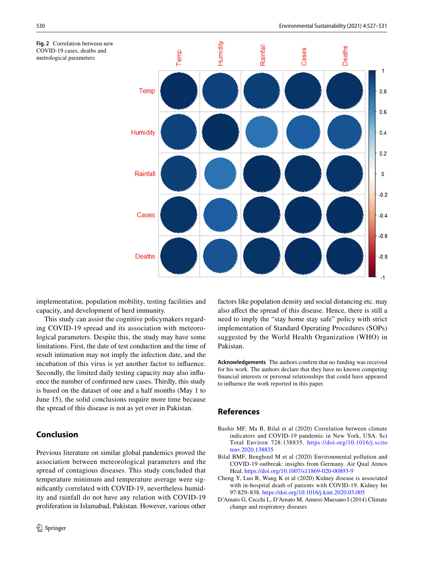<span id="page-3-4"></span>



implementation, population mobility, testing facilities and capacity, and development of herd immunity.

This study can assist the cognitive policymakers regarding COVID-19 spread and its association with meteorological parameters. Despite this, the study may have some limitations. First, the date of test conduction and the time of result intimation may not imply the infection date, and the incubation of this virus is yet another factor to infuence. Secondly, the limited daily testing capacity may also infuence the number of confrmed new cases. Thirdly, this study is based on the dataset of one and a half months (May 1 to June 15), the solid conclusions require more time because the spread of this disease is not as yet over in Pakistan.

# **Conclusion**

Previous literature on similar global pandemics proved the association between meteorological parameters and the spread of contagious diseases. This study concluded that temperature minimum and temperature average were signifcantly correlated with COVID-19, nevertheless humidity and rainfall do not have any relation with COVID-19 proliferation in Islamabad, Pakistan. However, various other factors like population density and social distancing etc. may also afect the spread of this disease. Hence, there is still a need to imply the "stay home stay safe" policy with strict implementation of Standard Operating Procedures (SOPs) suggested by the World Health Organization (WHO) in Pakistan.

**Acknowledgements** The authors confrm that no funding was received for his work. The authors declare that they have no known competing fnancial interests or personal relationships that could have appeared to infuence the work reported in this paper.

## **References**

- <span id="page-3-3"></span>Bashir MF, Ma B, Bilal et al (2020) Correlation between climate indicators and COVID-19 pandemic in New York, USA. Sci Total Environ 728:138835. [https://doi.org/10.1016/j.scito](https://doi.org/10.1016/j.scitotenv.2020.138835) [tenv.2020.138835](https://doi.org/10.1016/j.scitotenv.2020.138835)
- <span id="page-3-1"></span>Bilal BMF, Benghoul M et al (2020) Environmental pollution and COVID-19 outbreak: insights from Germany. Air Qual Atmos Heal. <https://doi.org/10.1007/s11869-020-00893-9>
- <span id="page-3-0"></span>Cheng Y, Luo R, Wang K et al (2020) Kidney disease is associated with in-hospital death of patients with COVID-19. Kidney Int 97:829–838.<https://doi.org/10.1016/j.kint.2020.03.005>
- <span id="page-3-2"></span>D'Amato G, Cecchi L, D'Amato M, Annesi-Maesano I (2014) Climate change and respiratory diseases